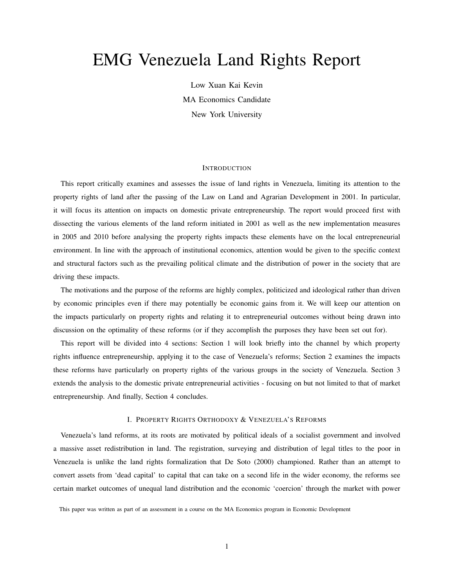# EMG Venezuela Land Rights Report

Low Xuan Kai Kevin MA Economics Candidate New York University

## INTRODUCTION

This report critically examines and assesses the issue of land rights in Venezuela, limiting its attention to the property rights of land after the passing of the Law on Land and Agrarian Development in 2001. In particular, it will focus its attention on impacts on domestic private entrepreneurship. The report would proceed first with dissecting the various elements of the land reform initiated in 2001 as well as the new implementation measures in 2005 and 2010 before analysing the property rights impacts these elements have on the local entrepreneurial environment. In line with the approach of institutional economics, attention would be given to the specific context and structural factors such as the prevailing political climate and the distribution of power in the society that are driving these impacts.

The motivations and the purpose of the reforms are highly complex, politicized and ideological rather than driven by economic principles even if there may potentially be economic gains from it. We will keep our attention on the impacts particularly on property rights and relating it to entrepreneurial outcomes without being drawn into discussion on the optimality of these reforms (or if they accomplish the purposes they have been set out for).

This report will be divided into 4 sections: Section 1 will look briefly into the channel by which property rights influence entrepreneurship, applying it to the case of Venezuela's reforms; Section 2 examines the impacts these reforms have particularly on property rights of the various groups in the society of Venezuela. Section 3 extends the analysis to the domestic private entrepreneurial activities - focusing on but not limited to that of market entrepreneurship. And finally, Section 4 concludes.

## I. PROPERTY RIGHTS ORTHODOXY & VENEZUELA'S REFORMS

Venezuela's land reforms, at its roots are motivated by political ideals of a socialist government and involved a massive asset redistribution in land. The registration, surveying and distribution of legal titles to the poor in Venezuela is unlike the land rights formalization that De Soto (2000) championed. Rather than an attempt to convert assets from 'dead capital' to capital that can take on a second life in the wider economy, the reforms see certain market outcomes of unequal land distribution and the economic 'coercion' through the market with power

This paper was written as part of an assessment in a course on the MA Economics program in Economic Development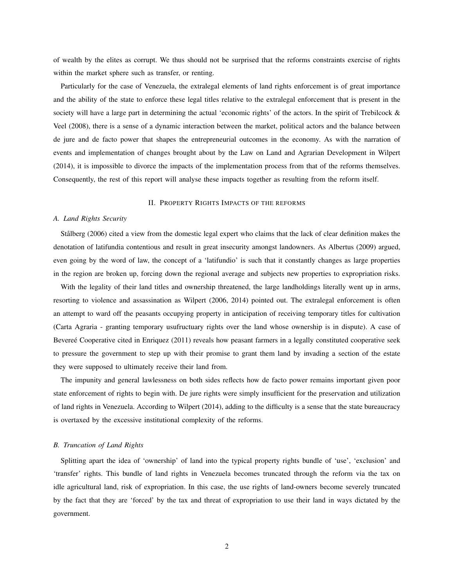of wealth by the elites as corrupt. We thus should not be surprised that the reforms constraints exercise of rights within the market sphere such as transfer, or renting.

Particularly for the case of Venezuela, the extralegal elements of land rights enforcement is of great importance and the ability of the state to enforce these legal titles relative to the extralegal enforcement that is present in the society will have a large part in determining the actual 'economic rights' of the actors. In the spirit of Trebilcock & Veel (2008), there is a sense of a dynamic interaction between the market, political actors and the balance between de jure and de facto power that shapes the entrepreneurial outcomes in the economy. As with the narration of events and implementation of changes brought about by the Law on Land and Agrarian Development in Wilpert (2014), it is impossible to divorce the impacts of the implementation process from that of the reforms themselves. Consequently, the rest of this report will analyse these impacts together as resulting from the reform itself.

#### II. PROPERTY RIGHTS IMPACTS OF THE REFORMS

#### *A. Land Rights Security*

Stålberg (2006) cited a view from the domestic legal expert who claims that the lack of clear definition makes the denotation of latifundia contentious and result in great insecurity amongst landowners. As Albertus (2009) argued, even going by the word of law, the concept of a 'latifundio' is such that it constantly changes as large properties in the region are broken up, forcing down the regional average and subjects new properties to expropriation risks.

With the legality of their land titles and ownership threatened, the large landholdings literally went up in arms, resorting to violence and assassination as Wilpert (2006, 2014) pointed out. The extralegal enforcement is often an attempt to ward off the peasants occupying property in anticipation of receiving temporary titles for cultivation (Carta Agraria - granting temporary usufructuary rights over the land whose ownership is in dispute). A case of Beveree Cooperative cited in Enriquez (2011) reveals how peasant farmers in a legally constituted cooperative seek to pressure the government to step up with their promise to grant them land by invading a section of the estate they were supposed to ultimately receive their land from.

The impunity and general lawlessness on both sides reflects how de facto power remains important given poor state enforcement of rights to begin with. De jure rights were simply insufficient for the preservation and utilization of land rights in Venezuela. According to Wilpert (2014), adding to the difficulty is a sense that the state bureaucracy is overtaxed by the excessive institutional complexity of the reforms.

## *B. Truncation of Land Rights*

Splitting apart the idea of 'ownership' of land into the typical property rights bundle of 'use', 'exclusion' and 'transfer' rights. This bundle of land rights in Venezuela becomes truncated through the reform via the tax on idle agricultural land, risk of expropriation. In this case, the use rights of land-owners become severely truncated by the fact that they are 'forced' by the tax and threat of expropriation to use their land in ways dictated by the government.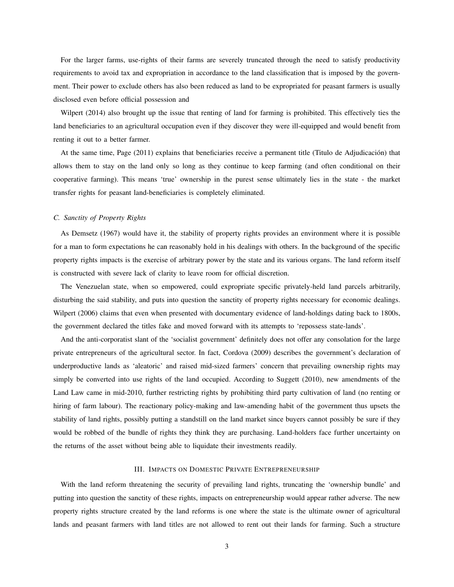For the larger farms, use-rights of their farms are severely truncated through the need to satisfy productivity requirements to avoid tax and expropriation in accordance to the land classification that is imposed by the government. Their power to exclude others has also been reduced as land to be expropriated for peasant farmers is usually disclosed even before official possession and

Wilpert (2014) also brought up the issue that renting of land for farming is prohibited. This effectively ties the land beneficiaries to an agricultural occupation even if they discover they were ill-equipped and would benefit from renting it out to a better farmer.

At the same time, Page (2011) explains that beneficiaries receive a permanent title (Titulo de Adjudicacion) that ´ allows them to stay on the land only so long as they continue to keep farming (and often conditional on their cooperative farming). This means 'true' ownership in the purest sense ultimately lies in the state - the market transfer rights for peasant land-beneficiaries is completely eliminated.

## *C. Sanctity of Property Rights*

As Demsetz (1967) would have it, the stability of property rights provides an environment where it is possible for a man to form expectations he can reasonably hold in his dealings with others. In the background of the specific property rights impacts is the exercise of arbitrary power by the state and its various organs. The land reform itself is constructed with severe lack of clarity to leave room for official discretion.

The Venezuelan state, when so empowered, could expropriate specific privately-held land parcels arbitrarily, disturbing the said stability, and puts into question the sanctity of property rights necessary for economic dealings. Wilpert (2006) claims that even when presented with documentary evidence of land-holdings dating back to 1800s, the government declared the titles fake and moved forward with its attempts to 'repossess state-lands'.

And the anti-corporatist slant of the 'socialist government' definitely does not offer any consolation for the large private entrepreneurs of the agricultural sector. In fact, Cordova (2009) describes the government's declaration of underproductive lands as 'aleatoric' and raised mid-sized farmers' concern that prevailing ownership rights may simply be converted into use rights of the land occupied. According to Suggett (2010), new amendments of the Land Law came in mid-2010, further restricting rights by prohibiting third party cultivation of land (no renting or hiring of farm labour). The reactionary policy-making and law-amending habit of the government thus upsets the stability of land rights, possibly putting a standstill on the land market since buyers cannot possibly be sure if they would be robbed of the bundle of rights they think they are purchasing. Land-holders face further uncertainty on the returns of the asset without being able to liquidate their investments readily.

## III. IMPACTS ON DOMESTIC PRIVATE ENTREPRENEURSHIP

With the land reform threatening the security of prevailing land rights, truncating the 'ownership bundle' and putting into question the sanctity of these rights, impacts on entrepreneurship would appear rather adverse. The new property rights structure created by the land reforms is one where the state is the ultimate owner of agricultural lands and peasant farmers with land titles are not allowed to rent out their lands for farming. Such a structure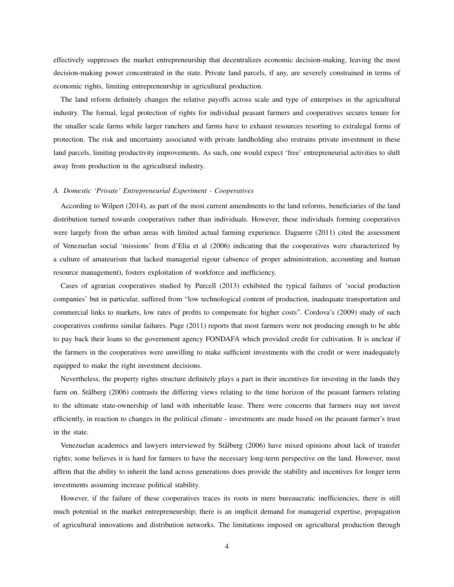effectively suppresses the market entrepreneurship that decentralizes economic decision-making, leaving the most decision-making power concentrated in the state. Private land parcels, if any, are severely constrained in terms of economic rights, limiting entrepreneurship in agricultural production.

The land reform definitely changes the relative payoffs across scale and type of enterprises in the agricultural industry. The formal, legal protection of rights for individual peasant farmers and cooperatives secures tenure for the smaller scale farms while larger ranchers and farms have to exhaust resources resorting to extralegal forms of protection. The risk and uncertainty associated with private landholding also restrains private investment in these land parcels, limiting productivity improvements. As such, one would expect 'free' entrepreneurial activities to shift away from production in the agricultural industry.

## *A. Domestic 'Private' Entrepreneurial Experiment - Cooperatives*

According to Wilpert (2014), as part of the most current amendments to the land reforms, beneficiaries of the land distribution turned towards cooperatives rather than individuals. However, these individuals forming cooperatives were largely from the urban areas with limited actual farming experience. Daguerre (2011) cited the assessment of Venezuelan social 'missions' from d'Elia et al (2006) indicating that the cooperatives were characterized by a culture of amateurism that lacked managerial rigour (absence of proper administration, accounting and human resource management), fosters exploitation of workforce and inefficiency.

Cases of agrarian cooperatives studied by Purcell (2013) exhibited the typical failures of 'social production companies' but in particular, suffered from "low technological content of production, inadequate transportation and commercial links to markets, low rates of profits to compensate for higher costs". Cordova's (2009) study of such cooperatives confirms similar failures. Page (2011) reports that most farmers were not producing enough to be able to pay back their loans to the government agency FONDAFA which provided credit for cultivation. It is unclear if the farmers in the cooperatives were unwilling to make sufficient investments with the credit or were inadequately equipped to make the right investment decisions.

Nevertheless, the property rights structure definitely plays a part in their incentives for investing in the lands they farm on. Stålberg (2006) contrasts the differing views relating to the time horizon of the peasant farmers relating to the ultimate state-ownership of land with inheritable lease. There were concerns that farmers may not invest efficiently, in reaction to changes in the political climate - investments are made based on the peasant farmer's trust in the state.

Venezuelan academics and lawyers interviewed by Stålberg (2006) have mixed opinions about lack of transfer rights; some believes it is hard for farmers to have the necessary long-term perspective on the land. However, most affirm that the ability to inherit the land across generations does provide the stability and incentives for longer term investments assuming increase political stability.

However, if the failure of these cooperatives traces its roots in mere bureaucratic inefficiencies, there is still much potential in the market entrepreneurship; there is an implicit demand for managerial expertise, propagation of agricultural innovations and distribution networks. The limitations imposed on agricultural production through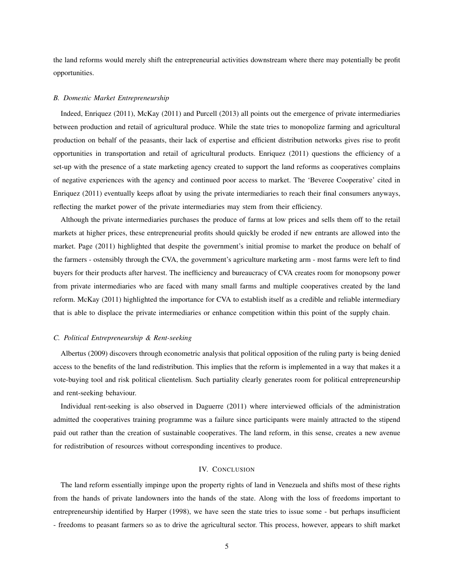the land reforms would merely shift the entrepreneurial activities downstream where there may potentially be profit opportunities.

#### *B. Domestic Market Entrepreneurship*

Indeed, Enriquez (2011), McKay (2011) and Purcell (2013) all points out the emergence of private intermediaries between production and retail of agricultural produce. While the state tries to monopolize farming and agricultural production on behalf of the peasants, their lack of expertise and efficient distribution networks gives rise to profit opportunities in transportation and retail of agricultural products. Enriquez (2011) questions the efficiency of a set-up with the presence of a state marketing agency created to support the land reforms as cooperatives complains of negative experiences with the agency and continued poor access to market. The 'Beveree Cooperative' cited in Enriquez (2011) eventually keeps afloat by using the private intermediaries to reach their final consumers anyways, reflecting the market power of the private intermediaries may stem from their efficiency.

Although the private intermediaries purchases the produce of farms at low prices and sells them off to the retail markets at higher prices, these entrepreneurial profits should quickly be eroded if new entrants are allowed into the market. Page (2011) highlighted that despite the government's initial promise to market the produce on behalf of the farmers - ostensibly through the CVA, the government's agriculture marketing arm - most farms were left to find buyers for their products after harvest. The inefficiency and bureaucracy of CVA creates room for monopsony power from private intermediaries who are faced with many small farms and multiple cooperatives created by the land reform. McKay (2011) highlighted the importance for CVA to establish itself as a credible and reliable intermediary that is able to displace the private intermediaries or enhance competition within this point of the supply chain.

## *C. Political Entrepreneurship & Rent-seeking*

Albertus (2009) discovers through econometric analysis that political opposition of the ruling party is being denied access to the benefits of the land redistribution. This implies that the reform is implemented in a way that makes it a vote-buying tool and risk political clientelism. Such partiality clearly generates room for political entrepreneurship and rent-seeking behaviour.

Individual rent-seeking is also observed in Daguerre (2011) where interviewed officials of the administration admitted the cooperatives training programme was a failure since participants were mainly attracted to the stipend paid out rather than the creation of sustainable cooperatives. The land reform, in this sense, creates a new avenue for redistribution of resources without corresponding incentives to produce.

#### IV. CONCLUSION

The land reform essentially impinge upon the property rights of land in Venezuela and shifts most of these rights from the hands of private landowners into the hands of the state. Along with the loss of freedoms important to entrepreneurship identified by Harper (1998), we have seen the state tries to issue some - but perhaps insufficient - freedoms to peasant farmers so as to drive the agricultural sector. This process, however, appears to shift market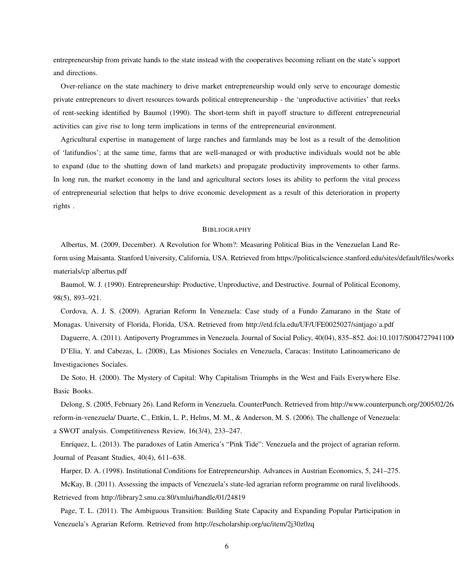entrepreneurship from private hands to the state instead with the cooperatives becoming reliant on the state's support and directions.

Over-reliance on the state machinery to drive market entrepreneurship would only serve to encourage domestic private entrepreneurs to divert resources towards political entrepreneurship - the 'unproductive activities' that reeks of rent-seeking identified by Baumol (1990). The short-term shift in payoff structure to different entrepreneurial activities can give rise to long term implications in terms of the entrepreneurial environment.

Agricultural expertise in management of large ranches and farmlands may be lost as a result of the demolition of 'latifundios'; at the same time, farms that are well-managed or with productive individuals would not be able to expand (due to the shutting down of land markets) and propagate productivity improvements to other farms. In long run, the market economy in the land and agricultural sectors loses its ability to perform the vital process of entrepreneurial selection that helps to drive economic development as a result of this deterioration in property rights .

#### **BIBLIOGRAPHY**

Albertus, M. (2009, December). A Revolution for Whom?: Measuring Political Bias in the Venezuelan Land Reform using Maisanta. Stanford University, California, USA. Retrieved from https://politicalscience.stanford.edu/sites/default/files/workshopmaterials/cp˙albertus.pdf

Baumol, W. J. (1990). Entrepreneurship: Productive, Unproductive, and Destructive. Journal of Political Economy, 98(5), 893–921.

Cordova, A. J. S. (2009). Agrarian Reform In Venezuela: Case study of a Fundo Zamarano in the State of Monagas. University of Florida, Florida, USA. Retrieved from http://etd.fcla.edu/UF/UFE0025027/sintjago˙a.pdf

Daguerre, A. (2011). Antipoverty Programmes in Venezuela. Journal of Social Policy, 40(04), 835–852. doi:10.1017/S004727941100

D'Elia, Y. and Cabezas, L. (2008), Las Misiones Sociales en Venezuela, Caracas: Instituto Latinoamericano de Investigaciones Sociales.

De Soto, H. (2000). The Mystery of Capital: Why Capitalism Triumphs in the West and Fails Everywhere Else. Basic Books.

Delong, S. (2005, February 26). Land Reform in Venezuela. CounterPunch. Retrieved from http://www.counterpunch.org/2005/02/26 reform-in-venezuela/ Duarte, C., Ettkin, L. P., Helms, M. M., & Anderson, M. S. (2006). The challenge of Venezuela: a SWOT analysis. Competitiveness Review, 16(3/4), 233–247.

Enríquez, L. (2013). The paradoxes of Latin America's "Pink Tide": Venezuela and the project of agrarian reform. Journal of Peasant Studies, 40(4), 611–638.

Harper, D. A. (1998). Institutional Conditions for Entrepreneurship. Advances in Austrian Economics, 5, 241–275.

McKay, B. (2011). Assessing the impacts of Venezuela's state-led agrarian reform programme on rural livelihoods. Retrieved from http://library2.smu.ca:80/xmlui/handle/01/24819

Page, T. L. (2011). The Ambiguous Transition: Building State Capacity and Expanding Popular Participation in Venezuela's Agrarian Reform. Retrieved from http://escholarship.org/uc/item/2j30z0zq